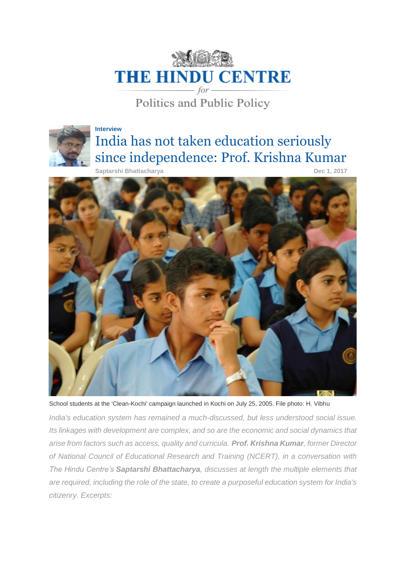

Politics and Public Policy



## **Interview** India has not taken education seriously since independence: Prof. Krishna Kumar

 **Saptarshi Bhattacharya** Dec 1, 2017



School students at the 'Clean-Kochi' campaign launched in Kochi on July 25, 2005. File photo: H. Vibhu

*India's education system has remained a much-discussed, but less understood social issue. Its linkages with development are complex, and so are the economic and social dynamics that arise from factors such as access, quality and curricula. Prof. Krishna Kumar, former Director of National Council of Educational Research and Training (NCERT), in a conversation with The Hindu Centre's Saptarshi Bhattacharya, discusses at length the multiple elements that are required, including the role of the state, to create a purposeful education system for India's citizenry. Excerpts:*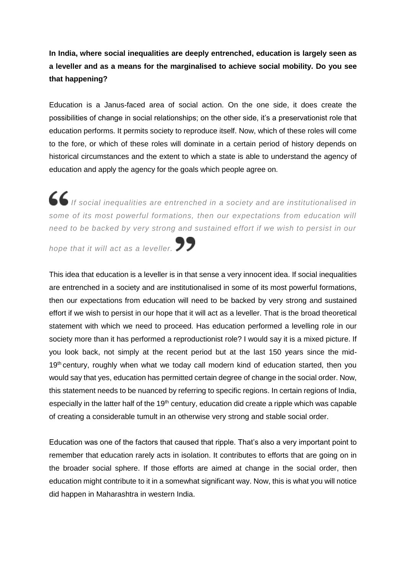**In India, where social inequalities are deeply entrenched, education is largely seen as a leveller and as a means for the marginalised to achieve social mobility. Do you see that happening?**

Education is a Janus-faced area of social action. On the one side, it does create the possibilities of change in social relationships; on the other side, it's a preservationist role that education performs. It permits society to reproduce itself. Now, which of these roles will come to the fore, or which of these roles will dominate in a certain period of history depends on historical circumstances and the extent to which a state is able to understand the agency of education and apply the agency for the goals which people agree on.

*If social inequalities are entrenched in a society and are institutionalised in some of its most powerful formations, then our expectations from education will need to be backed by very strong and sustained effort if we wish to persist in our* 

*hope that it will act as a leveller.*

This idea that education is a leveller is in that sense a very innocent idea. If social inequalities are entrenched in a society and are institutionalised in some of its most powerful formations, then our expectations from education will need to be backed by very strong and sustained effort if we wish to persist in our hope that it will act as a leveller. That is the broad theoretical statement with which we need to proceed. Has education performed a levelling role in our society more than it has performed a reproductionist role? I would say it is a mixed picture. If you look back, not simply at the recent period but at the last 150 years since the mid-19<sup>th</sup> century, roughly when what we today call modern kind of education started, then you would say that yes, education has permitted certain degree of change in the social order. Now, this statement needs to be nuanced by referring to specific regions. In certain regions of India, especially in the latter half of the 19<sup>th</sup> century, education did create a ripple which was capable of creating a considerable tumult in an otherwise very strong and stable social order.

Education was one of the factors that caused that ripple. That's also a very important point to remember that education rarely acts in isolation. It contributes to efforts that are going on in the broader social sphere. If those efforts are aimed at change in the social order, then education might contribute to it in a somewhat significant way. Now, this is what you will notice did happen in Maharashtra in western India.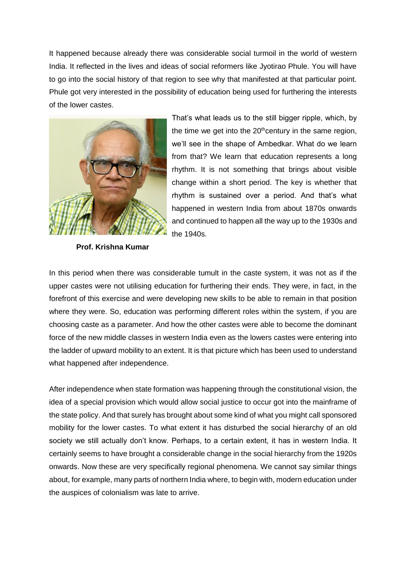It happened because already there was considerable social turmoil in the world of western India. It reflected in the lives and ideas of social reformers like Jyotirao Phule. You will have to go into the social history of that region to see why that manifested at that particular point. Phule got very interested in the possibility of education being used for furthering the interests of the lower castes.



rhythm is sustained over a period. And that's what happened in western India from about 1870s onwards and continued to happen all the way up to the 1930s and the 1940s.

That's what leads us to the still bigger ripple, which, by the time we get into the  $20<sup>th</sup>$ century in the same region, we'll see in the shape of Ambedkar. What do we learn from that? We learn that education represents a long rhythm. It is not something that brings about visible change within a short period. The key is whether that

 **Prof. Krishna Kumar**

In this period when there was considerable tumult in the caste system, it was not as if the upper castes were not utilising education for furthering their ends. They were, in fact, in the forefront of this exercise and were developing new skills to be able to remain in that position where they were. So, education was performing different roles within the system, if you are choosing caste as a parameter. And how the other castes were able to become the dominant force of the new middle classes in western India even as the lowers castes were entering into the ladder of upward mobility to an extent. It is that picture which has been used to understand what happened after independence.

After independence when state formation was happening through the constitutional vision, the idea of a special provision which would allow social justice to occur got into the mainframe of the state policy. And that surely has brought about some kind of what you might call sponsored mobility for the lower castes. To what extent it has disturbed the social hierarchy of an old society we still actually don't know. Perhaps, to a certain extent, it has in western India. It certainly seems to have brought a considerable change in the social hierarchy from the 1920s onwards. Now these are very specifically regional phenomena. We cannot say similar things about, for example, many parts of northern India where, to begin with, modern education under the auspices of colonialism was late to arrive.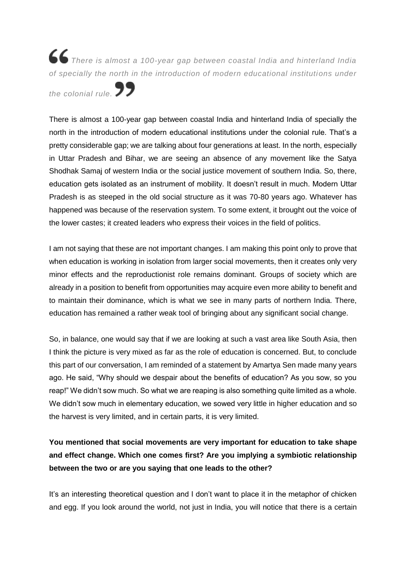*There is almost a 100-year gap between coastal India and hinterland India of specially the north in the introduction of modern educational institutions under* 

*the colonial rule.*

There is almost a 100-year gap between coastal India and hinterland India of specially the north in the introduction of modern educational institutions under the colonial rule. That's a pretty considerable gap; we are talking about four generations at least. In the north, especially in Uttar Pradesh and Bihar, we are seeing an absence of any movement like the Satya Shodhak Samaj of western India or the social justice movement of southern India. So, there, education gets isolated as an instrument of mobility. It doesn't result in much. Modern Uttar Pradesh is as steeped in the old social structure as it was 70-80 years ago. Whatever has happened was because of the reservation system. To some extent, it brought out the voice of the lower castes; it created leaders who express their voices in the field of politics.

I am not saying that these are not important changes. I am making this point only to prove that when education is working in isolation from larger social movements, then it creates only very minor effects and the reproductionist role remains dominant. Groups of society which are already in a position to benefit from opportunities may acquire even more ability to benefit and to maintain their dominance, which is what we see in many parts of northern India. There, education has remained a rather weak tool of bringing about any significant social change.

So, in balance, one would say that if we are looking at such a vast area like South Asia, then I think the picture is very mixed as far as the role of education is concerned. But, to conclude this part of our conversation, I am reminded of a statement by Amartya Sen made many years ago. He said, "Why should we despair about the benefits of education? As you sow, so you reap!" We didn't sow much. So what we are reaping is also something quite limited as a whole. We didn't sow much in elementary education, we sowed very little in higher education and so the harvest is very limited, and in certain parts, it is very limited.

## **You mentioned that social movements are very important for education to take shape and effect change. Which one comes first? Are you implying a symbiotic relationship between the two or are you saying that one leads to the other?**

It's an interesting theoretical question and I don't want to place it in the metaphor of chicken and egg. If you look around the world, not just in India, you will notice that there is a certain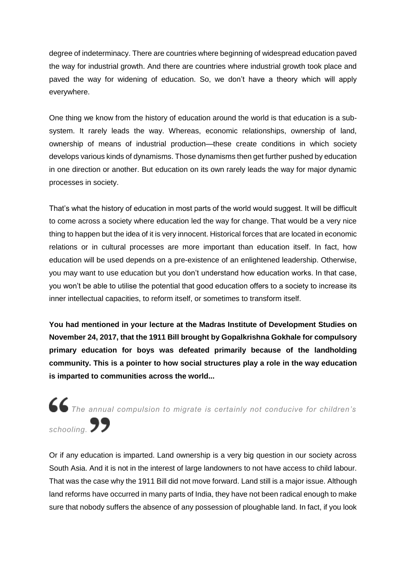degree of indeterminacy. There are countries where beginning of widespread education paved the way for industrial growth. And there are countries where industrial growth took place and paved the way for widening of education. So, we don't have a theory which will apply everywhere.

One thing we know from the history of education around the world is that education is a subsystem. It rarely leads the way. Whereas, economic relationships, ownership of land, ownership of means of industrial production—these create conditions in which society develops various kinds of dynamisms. Those dynamisms then get further pushed by education in one direction or another. But education on its own rarely leads the way for major dynamic processes in society.

That's what the history of education in most parts of the world would suggest. It will be difficult to come across a society where education led the way for change. That would be a very nice thing to happen but the idea of it is very innocent. Historical forces that are located in economic relations or in cultural processes are more important than education itself. In fact, how education will be used depends on a pre-existence of an enlightened leadership. Otherwise, you may want to use education but you don't understand how education works. In that case, you won't be able to utilise the potential that good education offers to a society to increase its inner intellectual capacities, to reform itself, or sometimes to transform itself.

**You had mentioned in your lecture at the Madras Institute of Development Studies on November 24, 2017, that the 1911 Bill brought by Gopalkrishna Gokhale for compulsory primary education for boys was defeated primarily because of the landholding community. This is a pointer to how social structures play a role in the way education is imparted to communities across the world...**

*The annual compulsion to migrate is certainly not conducive for children's*  schooling. **99** 

Or if any education is imparted. Land ownership is a very big question in our society across South Asia. And it is not in the interest of large landowners to not have access to child labour. That was the case why the 1911 Bill did not move forward. Land still is a major issue. Although land reforms have occurred in many parts of India, they have not been radical enough to make sure that nobody suffers the absence of any possession of ploughable land. In fact, if you look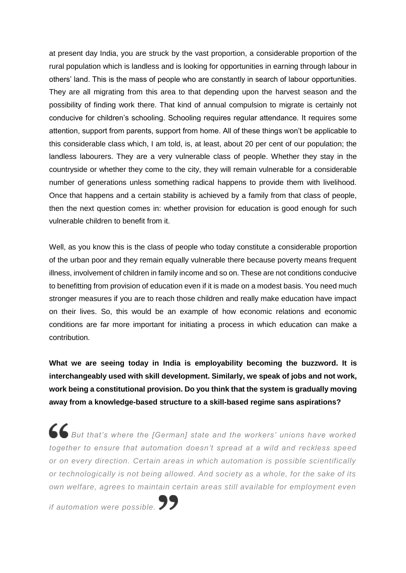at present day India, you are struck by the vast proportion, a considerable proportion of the rural population which is landless and is looking for opportunities in earning through labour in others' land. This is the mass of people who are constantly in search of labour opportunities. They are all migrating from this area to that depending upon the harvest season and the possibility of finding work there. That kind of annual compulsion to migrate is certainly not conducive for children's schooling. Schooling requires regular attendance. It requires some attention, support from parents, support from home. All of these things won't be applicable to this considerable class which, I am told, is, at least, about 20 per cent of our population; the landless labourers. They are a very vulnerable class of people. Whether they stay in the countryside or whether they come to the city, they will remain vulnerable for a considerable number of generations unless something radical happens to provide them with livelihood. Once that happens and a certain stability is achieved by a family from that class of people, then the next question comes in: whether provision for education is good enough for such vulnerable children to benefit from it.

Well, as you know this is the class of people who today constitute a considerable proportion of the urban poor and they remain equally vulnerable there because poverty means frequent illness, involvement of children in family income and so on. These are not conditions conducive to benefitting from provision of education even if it is made on a modest basis. You need much stronger measures if you are to reach those children and really make education have impact on their lives. So, this would be an example of how economic relations and economic conditions are far more important for initiating a process in which education can make a contribution.

**What we are seeing today in India is employability becoming the buzzword. It is interchangeably used with skill development. Similarly, we speak of jobs and not work, work being a constitutional provision. Do you think that the system is gradually moving away from a knowledge-based structure to a skill-based regime sans aspirations?**

*But that's where the [German] state and the workers' unions have worked together to ensure that automation doesn't spread at a wild and reckless speed or on every direction. Certain areas in which automation is possible scientifically or technologically is not being allowed. And society as a whole, for the sake of its own welfare, agrees to maintain certain areas still available for employment even* 

*if automation were possible.*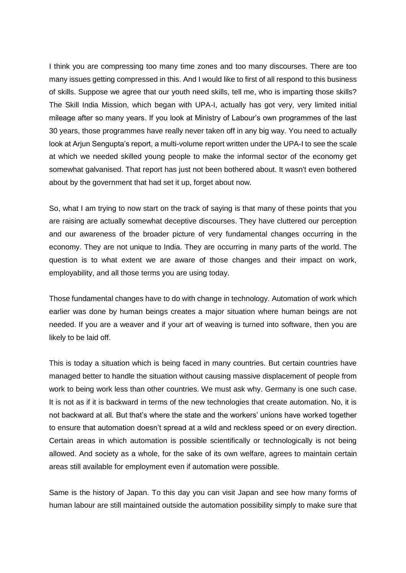I think you are compressing too many time zones and too many discourses. There are too many issues getting compressed in this. And I would like to first of all respond to this business of skills. Suppose we agree that our youth need skills, tell me, who is imparting those skills? The Skill India Mission, which began with UPA-I, actually has got very, very limited initial mileage after so many years. If you look at Ministry of Labour's own programmes of the last 30 years, those programmes have really never taken off in any big way. You need to actually look at Arjun Sengupta's report, a multi-volume report written under the UPA-I to see the scale at which we needed skilled young people to make the informal sector of the economy get somewhat galvanised. That report has just not been bothered about. It wasn't even bothered about by the government that had set it up, forget about now.

So, what I am trying to now start on the track of saying is that many of these points that you are raising are actually somewhat deceptive discourses. They have cluttered our perception and our awareness of the broader picture of very fundamental changes occurring in the economy. They are not unique to India. They are occurring in many parts of the world. The question is to what extent we are aware of those changes and their impact on work, employability, and all those terms you are using today.

Those fundamental changes have to do with change in technology. Automation of work which earlier was done by human beings creates a major situation where human beings are not needed. If you are a weaver and if your art of weaving is turned into software, then you are likely to be laid off.

This is today a situation which is being faced in many countries. But certain countries have managed better to handle the situation without causing massive displacement of people from work to being work less than other countries. We must ask why. Germany is one such case. It is not as if it is backward in terms of the new technologies that create automation. No, it is not backward at all. But that's where the state and the workers' unions have worked together to ensure that automation doesn't spread at a wild and reckless speed or on every direction. Certain areas in which automation is possible scientifically or technologically is not being allowed. And society as a whole, for the sake of its own welfare, agrees to maintain certain areas still available for employment even if automation were possible.

Same is the history of Japan. To this day you can visit Japan and see how many forms of human labour are still maintained outside the automation possibility simply to make sure that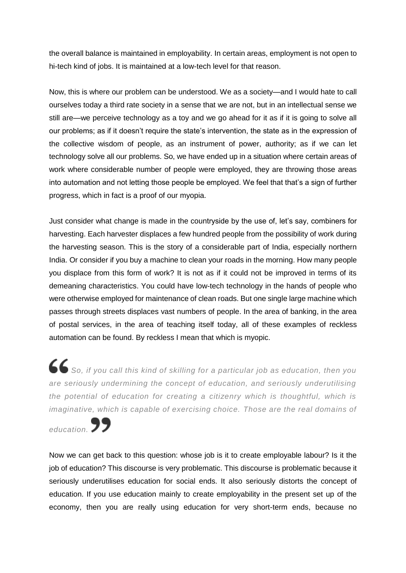the overall balance is maintained in employability. In certain areas, employment is not open to hi-tech kind of jobs. It is maintained at a low-tech level for that reason.

Now, this is where our problem can be understood. We as a society—and I would hate to call ourselves today a third rate society in a sense that we are not, but in an intellectual sense we still are—we perceive technology as a toy and we go ahead for it as if it is going to solve all our problems; as if it doesn't require the state's intervention, the state as in the expression of the collective wisdom of people, as an instrument of power, authority; as if we can let technology solve all our problems. So, we have ended up in a situation where certain areas of work where considerable number of people were employed, they are throwing those areas into automation and not letting those people be employed. We feel that that's a sign of further progress, which in fact is a proof of our myopia.

Just consider what change is made in the countryside by the use of, let's say, combiners for harvesting. Each harvester displaces a few hundred people from the possibility of work during the harvesting season. This is the story of a considerable part of India, especially northern India. Or consider if you buy a machine to clean your roads in the morning. How many people you displace from this form of work? It is not as if it could not be improved in terms of its demeaning characteristics. You could have low-tech technology in the hands of people who were otherwise employed for maintenance of clean roads. But one single large machine which passes through streets displaces vast numbers of people. In the area of banking, in the area of postal services, in the area of teaching itself today, all of these examples of reckless automation can be found. By reckless I mean that which is myopic.

*So, if you call this kind of skilling for a particular job as education, then you are seriously undermining the concept of education, and seriously underutilising the potential of education for creating a citizenry which is thoughtful, which is imaginative, which is capable of exercising choice. Those are the real domains of* 

education. **99** 

Now we can get back to this question: whose job is it to create employable labour? Is it the job of education? This discourse is very problematic. This discourse is problematic because it seriously underutilises education for social ends. It also seriously distorts the concept of education. If you use education mainly to create employability in the present set up of the economy, then you are really using education for very short-term ends, because no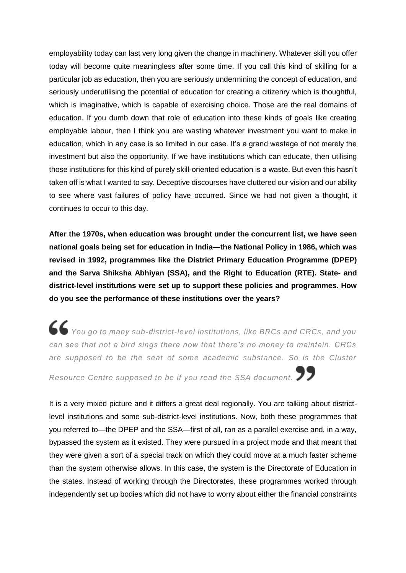employability today can last very long given the change in machinery. Whatever skill you offer today will become quite meaningless after some time. If you call this kind of skilling for a particular job as education, then you are seriously undermining the concept of education, and seriously underutilising the potential of education for creating a citizenry which is thoughtful, which is imaginative, which is capable of exercising choice. Those are the real domains of education. If you dumb down that role of education into these kinds of goals like creating employable labour, then I think you are wasting whatever investment you want to make in education, which in any case is so limited in our case. It's a grand wastage of not merely the investment but also the opportunity. If we have institutions which can educate, then utilising those institutions for this kind of purely skill-oriented education is a waste. But even this hasn't taken off is what I wanted to say. Deceptive discourses have cluttered our vision and our ability to see where vast failures of policy have occurred. Since we had not given a thought, it continues to occur to this day.

**After the 1970s, when education was brought under the concurrent list, we have seen national goals being set for education in India—the National Policy in 1986, which was revised in 1992, programmes like the District Primary Education Programme (DPEP) and the Sarva Shiksha Abhiyan (SSA), and the Right to Education (RTE). State- and district-level institutions were set up to support these policies and programmes. How do you see the performance of these institutions over the years?**

*You go to many sub-district-level institutions, like BRCs and CRCs, and you can see that not a bird sings there now that there's no money to maintain. CRCs are supposed to be the seat of some academic substance. So is the Cluster* 

*Resource Centre supposed to be if you read the SSA document.*

It is a very mixed picture and it differs a great deal regionally. You are talking about districtlevel institutions and some sub-district-level institutions. Now, both these programmes that you referred to—the DPEP and the SSA—first of all, ran as a parallel exercise and, in a way, bypassed the system as it existed. They were pursued in a project mode and that meant that they were given a sort of a special track on which they could move at a much faster scheme than the system otherwise allows. In this case, the system is the Directorate of Education in the states. Instead of working through the Directorates, these programmes worked through independently set up bodies which did not have to worry about either the financial constraints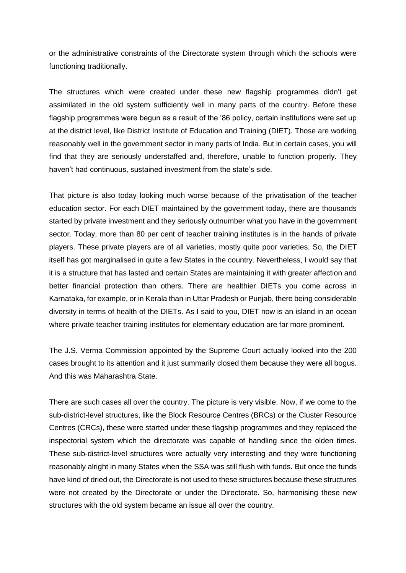or the administrative constraints of the Directorate system through which the schools were functioning traditionally.

The structures which were created under these new flagship programmes didn't get assimilated in the old system sufficiently well in many parts of the country. Before these flagship programmes were begun as a result of the '86 policy, certain institutions were set up at the district level, like District Institute of Education and Training (DIET). Those are working reasonably well in the government sector in many parts of India. But in certain cases, you will find that they are seriously understaffed and, therefore, unable to function properly. They haven't had continuous, sustained investment from the state's side.

That picture is also today looking much worse because of the privatisation of the teacher education sector. For each DIET maintained by the government today, there are thousands started by private investment and they seriously outnumber what you have in the government sector. Today, more than 80 per cent of teacher training institutes is in the hands of private players. These private players are of all varieties, mostly quite poor varieties. So, the DIET itself has got marginalised in quite a few States in the country. Nevertheless, I would say that it is a structure that has lasted and certain States are maintaining it with greater affection and better financial protection than others. There are healthier DIETs you come across in Karnataka, for example, or in Kerala than in Uttar Pradesh or Punjab, there being considerable diversity in terms of health of the DIETs. As I said to you, DIET now is an island in an ocean where private teacher training institutes for elementary education are far more prominent.

The J.S. Verma Commission appointed by the Supreme Court actually looked into the 200 cases brought to its attention and it just summarily closed them because they were all bogus. And this was Maharashtra State.

There are such cases all over the country. The picture is very visible. Now, if we come to the sub-district-level structures, like the Block Resource Centres (BRCs) or the Cluster Resource Centres (CRCs), these were started under these flagship programmes and they replaced the inspectorial system which the directorate was capable of handling since the olden times. These sub-district-level structures were actually very interesting and they were functioning reasonably alright in many States when the SSA was still flush with funds. But once the funds have kind of dried out, the Directorate is not used to these structures because these structures were not created by the Directorate or under the Directorate. So, harmonising these new structures with the old system became an issue all over the country.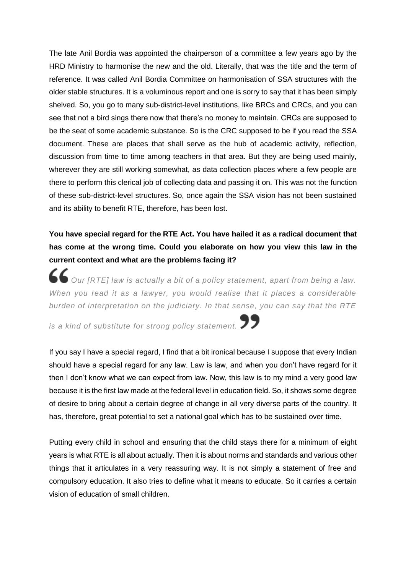The late Anil Bordia was appointed the chairperson of a committee a few years ago by the HRD Ministry to harmonise the new and the old. Literally, that was the title and the term of reference. It was called Anil Bordia Committee on harmonisation of SSA structures with the older stable structures. It is a voluminous report and one is sorry to say that it has been simply shelved. So, you go to many sub-district-level institutions, like BRCs and CRCs, and you can see that not a bird sings there now that there's no money to maintain. CRCs are supposed to be the seat of some academic substance. So is the CRC supposed to be if you read the SSA document. These are places that shall serve as the hub of academic activity, reflection, discussion from time to time among teachers in that area. But they are being used mainly, wherever they are still working somewhat, as data collection places where a few people are there to perform this clerical job of collecting data and passing it on. This was not the function of these sub-district-level structures. So, once again the SSA vision has not been sustained and its ability to benefit RTE, therefore, has been lost.

### **You have special regard for the RTE Act. You have hailed it as a radical document that has come at the wrong time. Could you elaborate on how you view this law in the current context and what are the problems facing it?**

*Our [RTE] law is actually a bit of a policy statement, apart from being a law. When you read it as a lawyer, you would realise that it places a considerable burden of interpretation on the judiciary. In that sense, you can say that the RTE* 

*is a kind of substitute for strong policy statement.*

If you say I have a special regard, I find that a bit ironical because I suppose that every Indian should have a special regard for any law. Law is law, and when you don't have regard for it then I don't know what we can expect from law. Now, this law is to my mind a very good law because it is the first law made at the federal level in education field. So, it shows some degree of desire to bring about a certain degree of change in all very diverse parts of the country. It has, therefore, great potential to set a national goal which has to be sustained over time.

Putting every child in school and ensuring that the child stays there for a minimum of eight years is what RTE is all about actually. Then it is about norms and standards and various other things that it articulates in a very reassuring way. It is not simply a statement of free and compulsory education. It also tries to define what it means to educate. So it carries a certain vision of education of small children.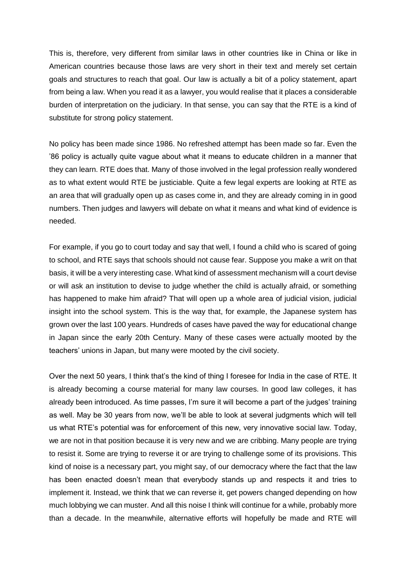This is, therefore, very different from similar laws in other countries like in China or like in American countries because those laws are very short in their text and merely set certain goals and structures to reach that goal. Our law is actually a bit of a policy statement, apart from being a law. When you read it as a lawyer, you would realise that it places a considerable burden of interpretation on the judiciary. In that sense, you can say that the RTE is a kind of substitute for strong policy statement.

No policy has been made since 1986. No refreshed attempt has been made so far. Even the '86 policy is actually quite vague about what it means to educate children in a manner that they can learn. RTE does that. Many of those involved in the legal profession really wondered as to what extent would RTE be justiciable. Quite a few legal experts are looking at RTE as an area that will gradually open up as cases come in, and they are already coming in in good numbers. Then judges and lawyers will debate on what it means and what kind of evidence is needed.

For example, if you go to court today and say that well, I found a child who is scared of going to school, and RTE says that schools should not cause fear. Suppose you make a writ on that basis, it will be a very interesting case. What kind of assessment mechanism will a court devise or will ask an institution to devise to judge whether the child is actually afraid, or something has happened to make him afraid? That will open up a whole area of judicial vision, judicial insight into the school system. This is the way that, for example, the Japanese system has grown over the last 100 years. Hundreds of cases have paved the way for educational change in Japan since the early 20th Century. Many of these cases were actually mooted by the teachers' unions in Japan, but many were mooted by the civil society.

Over the next 50 years, I think that's the kind of thing I foresee for India in the case of RTE. It is already becoming a course material for many law courses. In good law colleges, it has already been introduced. As time passes, I'm sure it will become a part of the judges' training as well. May be 30 years from now, we'll be able to look at several judgments which will tell us what RTE's potential was for enforcement of this new, very innovative social law. Today, we are not in that position because it is very new and we are cribbing. Many people are trying to resist it. Some are trying to reverse it or are trying to challenge some of its provisions. This kind of noise is a necessary part, you might say, of our democracy where the fact that the law has been enacted doesn't mean that everybody stands up and respects it and tries to implement it. Instead, we think that we can reverse it, get powers changed depending on how much lobbying we can muster. And all this noise I think will continue for a while, probably more than a decade. In the meanwhile, alternative efforts will hopefully be made and RTE will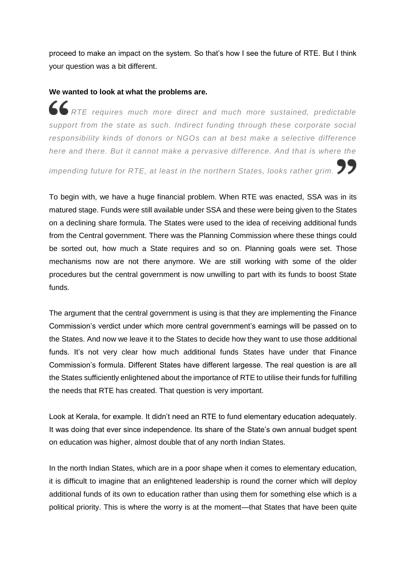proceed to make an impact on the system. So that's how I see the future of RTE. But I think your question was a bit different.

#### **We wanted to look at what the problems are.**

*RTE requires much more direct and much more sustained, predictable support from the state as such. Indirect funding through these corporate social responsibility kinds of donors or NGOs can at best make a selective difference here and there. But it cannot make a pervasive difference. And that is where the* 

*impending future for RTE, at least in the northern States, looks rather grim.*

To begin with, we have a huge financial problem. When RTE was enacted, SSA was in its matured stage. Funds were still available under SSA and these were being given to the States on a declining share formula. The States were used to the idea of receiving additional funds from the Central government. There was the Planning Commission where these things could be sorted out, how much a State requires and so on. Planning goals were set. Those mechanisms now are not there anymore. We are still working with some of the older procedures but the central government is now unwilling to part with its funds to boost State funds.

The argument that the central government is using is that they are implementing the Finance Commission's verdict under which more central government's earnings will be passed on to the States. And now we leave it to the States to decide how they want to use those additional funds. It's not very clear how much additional funds States have under that Finance Commission's formula. Different States have different largesse. The real question is are all the States sufficiently enlightened about the importance of RTE to utilise their funds for fulfilling the needs that RTE has created. That question is very important.

Look at Kerala, for example. It didn't need an RTE to fund elementary education adequately. It was doing that ever since independence. Its share of the State's own annual budget spent on education was higher, almost double that of any north Indian States.

In the north Indian States, which are in a poor shape when it comes to elementary education, it is difficult to imagine that an enlightened leadership is round the corner which will deploy additional funds of its own to education rather than using them for something else which is a political priority. This is where the worry is at the moment—that States that have been quite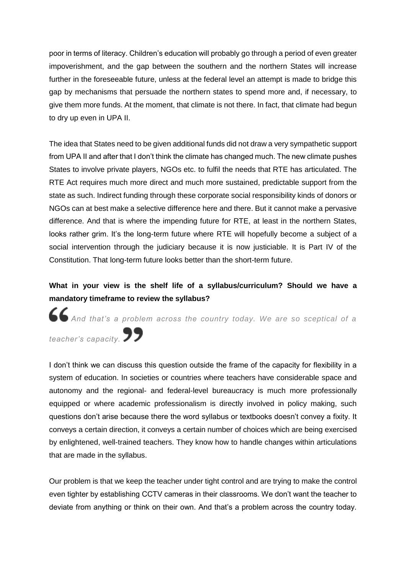poor in terms of literacy. Children's education will probably go through a period of even greater impoverishment, and the gap between the southern and the northern States will increase further in the foreseeable future, unless at the federal level an attempt is made to bridge this gap by mechanisms that persuade the northern states to spend more and, if necessary, to give them more funds. At the moment, that climate is not there. In fact, that climate had begun to dry up even in UPA II.

The idea that States need to be given additional funds did not draw a very sympathetic support from UPA II and after that I don't think the climate has changed much. The new climate pushes States to involve private players, NGOs etc. to fulfil the needs that RTE has articulated. The RTE Act requires much more direct and much more sustained, predictable support from the state as such. Indirect funding through these corporate social responsibility kinds of donors or NGOs can at best make a selective difference here and there. But it cannot make a pervasive difference. And that is where the impending future for RTE, at least in the northern States, looks rather grim. It's the long-term future where RTE will hopefully become a subject of a social intervention through the judiciary because it is now justiciable. It is Part IV of the Constitution. That long-term future looks better than the short-term future.

#### **What in your view is the shelf life of a syllabus/curriculum? Should we have a mandatory timeframe to review the syllabus?**

*And that's a problem across the country today. We are so sceptical of a* 

*teacher's capacity.*

I don't think we can discuss this question outside the frame of the capacity for flexibility in a system of education. In societies or countries where teachers have considerable space and autonomy and the regional- and federal-level bureaucracy is much more professionally equipped or where academic professionalism is directly involved in policy making, such questions don't arise because there the word syllabus or textbooks doesn't convey a fixity. It conveys a certain direction, it conveys a certain number of choices which are being exercised by enlightened, well-trained teachers. They know how to handle changes within articulations that are made in the syllabus.

Our problem is that we keep the teacher under tight control and are trying to make the control even tighter by establishing CCTV cameras in their classrooms. We don't want the teacher to deviate from anything or think on their own. And that's a problem across the country today.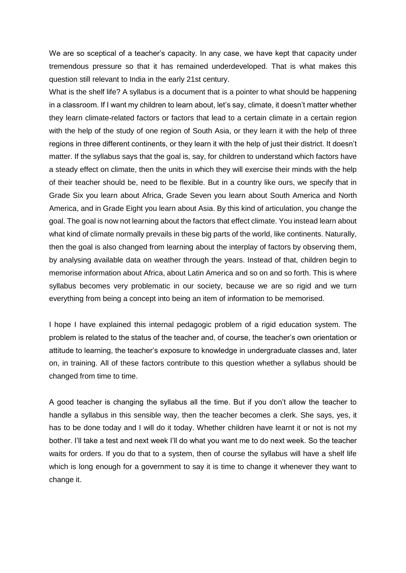We are so sceptical of a teacher's capacity. In any case, we have kept that capacity under tremendous pressure so that it has remained underdeveloped. That is what makes this question still relevant to India in the early 21st century.

What is the shelf life? A syllabus is a document that is a pointer to what should be happening in a classroom. If I want my children to learn about, let's say, climate, it doesn't matter whether they learn climate-related factors or factors that lead to a certain climate in a certain region with the help of the study of one region of South Asia, or they learn it with the help of three regions in three different continents, or they learn it with the help of just their district. It doesn't matter. If the syllabus says that the goal is, say, for children to understand which factors have a steady effect on climate, then the units in which they will exercise their minds with the help of their teacher should be, need to be flexible. But in a country like ours, we specify that in Grade Six you learn about Africa, Grade Seven you learn about South America and North America, and in Grade Eight you learn about Asia. By this kind of articulation, you change the goal. The goal is now not learning about the factors that effect climate. You instead learn about what kind of climate normally prevails in these big parts of the world, like continents. Naturally, then the goal is also changed from learning about the interplay of factors by observing them, by analysing available data on weather through the years. Instead of that, children begin to memorise information about Africa, about Latin America and so on and so forth. This is where syllabus becomes very problematic in our society, because we are so rigid and we turn everything from being a concept into being an item of information to be memorised.

I hope I have explained this internal pedagogic problem of a rigid education system. The problem is related to the status of the teacher and, of course, the teacher's own orientation or attitude to learning, the teacher's exposure to knowledge in undergraduate classes and, later on, in training. All of these factors contribute to this question whether a syllabus should be changed from time to time.

A good teacher is changing the syllabus all the time. But if you don't allow the teacher to handle a syllabus in this sensible way, then the teacher becomes a clerk. She says, yes, it has to be done today and I will do it today. Whether children have learnt it or not is not my bother. I'll take a test and next week I'll do what you want me to do next week. So the teacher waits for orders. If you do that to a system, then of course the syllabus will have a shelf life which is long enough for a government to say it is time to change it whenever they want to change it.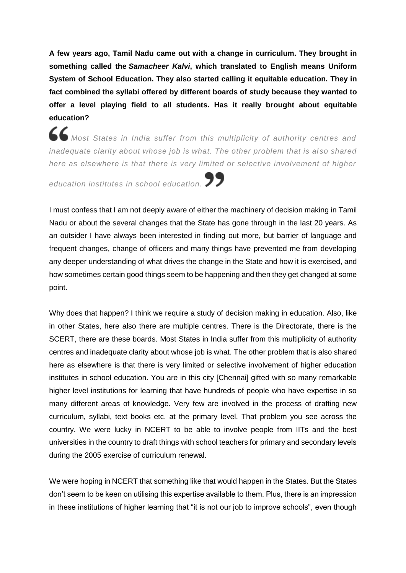**A few years ago, Tamil Nadu came out with a change in curriculum. They brought in something called the** *Samacheer Kalvi***, which translated to English means Uniform System of School Education. They also started calling it equitable education. They in fact combined the syllabi offered by different boards of study because they wanted to offer a level playing field to all students. Has it really brought about equitable education?**

*Most States in India suffer from this multiplicity of authority centres and inadequate clarity about whose job is what. The other problem that is al so shared here as elsewhere is that there is very limited or selective involvement of higher* 

*education institutes in school education.*

I must confess that I am not deeply aware of either the machinery of decision making in Tamil Nadu or about the several changes that the State has gone through in the last 20 years. As an outsider I have always been interested in finding out more, but barrier of language and frequent changes, change of officers and many things have prevented me from developing any deeper understanding of what drives the change in the State and how it is exercised, and how sometimes certain good things seem to be happening and then they get changed at some point.

Why does that happen? I think we require a study of decision making in education. Also, like in other States, here also there are multiple centres. There is the Directorate, there is the SCERT, there are these boards. Most States in India suffer from this multiplicity of authority centres and inadequate clarity about whose job is what. The other problem that is also shared here as elsewhere is that there is very limited or selective involvement of higher education institutes in school education. You are in this city [Chennai] gifted with so many remarkable higher level institutions for learning that have hundreds of people who have expertise in so many different areas of knowledge. Very few are involved in the process of drafting new curriculum, syllabi, text books etc. at the primary level. That problem you see across the country. We were lucky in NCERT to be able to involve people from IITs and the best universities in the country to draft things with school teachers for primary and secondary levels during the 2005 exercise of curriculum renewal.

We were hoping in NCERT that something like that would happen in the States. But the States don't seem to be keen on utilising this expertise available to them. Plus, there is an impression in these institutions of higher learning that "it is not our job to improve schools", even though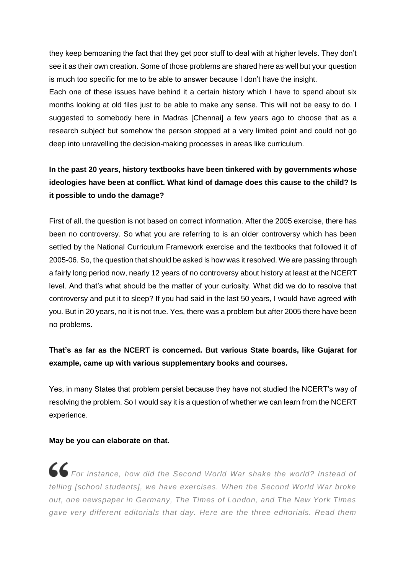they keep bemoaning the fact that they get poor stuff to deal with at higher levels. They don't see it as their own creation. Some of those problems are shared here as well but your question is much too specific for me to be able to answer because I don't have the insight.

Each one of these issues have behind it a certain history which I have to spend about six months looking at old files just to be able to make any sense. This will not be easy to do. I suggested to somebody here in Madras [Chennai] a few years ago to choose that as a research subject but somehow the person stopped at a very limited point and could not go deep into unravelling the decision-making processes in areas like curriculum.

## **In the past 20 years, history textbooks have been tinkered with by governments whose ideologies have been at conflict. What kind of damage does this cause to the child? Is it possible to undo the damage?**

First of all, the question is not based on correct information. After the 2005 exercise, there has been no controversy. So what you are referring to is an older controversy which has been settled by the National Curriculum Framework exercise and the textbooks that followed it of 2005-06. So, the question that should be asked is how was it resolved. We are passing through a fairly long period now, nearly 12 years of no controversy about history at least at the NCERT level. And that's what should be the matter of your curiosity. What did we do to resolve that controversy and put it to sleep? If you had said in the last 50 years, I would have agreed with you. But in 20 years, no it is not true. Yes, there was a problem but after 2005 there have been no problems.

#### **That's as far as the NCERT is concerned. But various State boards, like Gujarat for example, came up with various supplementary books and courses.**

Yes, in many States that problem persist because they have not studied the NCERT's way of resolving the problem. So I would say it is a question of whether we can learn from the NCERT experience.

#### **May be you can elaborate on that.**

*For instance, how did the Second World War shake the world? Instead of telling [school students], we have exercises. When the Second World War broke out, one newspaper in Germany, The Times of London, and The New York Times gave very different editorials that day. Here are the three editorials. Read them*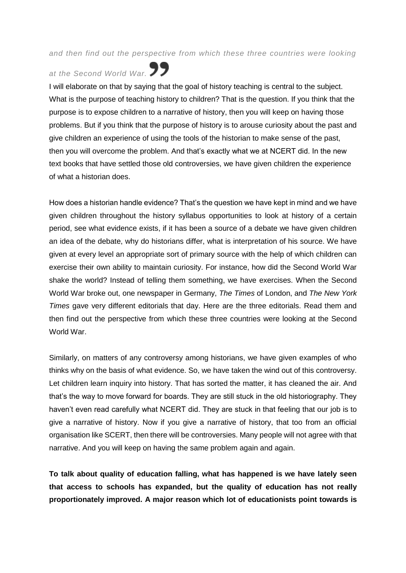#### *and then find out the perspective from which these three countries were looking*

# *at the Second World War.*

I will elaborate on that by saying that the goal of history teaching is central to the subject. What is the purpose of teaching history to children? That is the question. If you think that the purpose is to expose children to a narrative of history, then you will keep on having those problems. But if you think that the purpose of history is to arouse curiosity about the past and give children an experience of using the tools of the historian to make sense of the past, then you will overcome the problem. And that's exactly what we at NCERT did. In the new text books that have settled those old controversies, we have given children the experience of what a historian does.

How does a historian handle evidence? That's the question we have kept in mind and we have given children throughout the history syllabus opportunities to look at history of a certain period, see what evidence exists, if it has been a source of a debate we have given children an idea of the debate, why do historians differ, what is interpretation of his source. We have given at every level an appropriate sort of primary source with the help of which children can exercise their own ability to maintain curiosity. For instance, how did the Second World War shake the world? Instead of telling them something, we have exercises. When the Second World War broke out, one newspaper in Germany, *The Times* of London, and *The New York Times* gave very different editorials that day. Here are the three editorials. Read them and then find out the perspective from which these three countries were looking at the Second World War.

Similarly, on matters of any controversy among historians, we have given examples of who thinks why on the basis of what evidence. So, we have taken the wind out of this controversy. Let children learn inquiry into history. That has sorted the matter, it has cleaned the air. And that's the way to move forward for boards. They are still stuck in the old historiography. They haven't even read carefully what NCERT did. They are stuck in that feeling that our job is to give a narrative of history. Now if you give a narrative of history, that too from an official organisation like SCERT, then there will be controversies. Many people will not agree with that narrative. And you will keep on having the same problem again and again.

**To talk about quality of education falling, what has happened is we have lately seen that access to schools has expanded, but the quality of education has not really proportionately improved. A major reason which lot of educationists point towards is**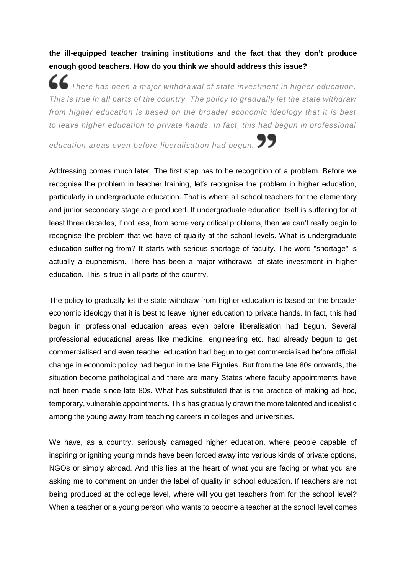**the ill-equipped teacher training institutions and the fact that they don't produce enough good teachers. How do you think we should address this issue?**

*There has been a major withdrawal of state investment in higher education. This is true in all parts of the country. The policy to gradually let the state withdraw from higher education is based on the broader economic ideology that it is best to leave higher education to private hands. In fact, this had begun in professional* 

*education areas even before liberalisation had begun.*

Addressing comes much later. The first step has to be recognition of a problem. Before we recognise the problem in teacher training, let's recognise the problem in higher education, particularly in undergraduate education. That is where all school teachers for the elementary and junior secondary stage are produced. If undergraduate education itself is suffering for at least three decades, if not less, from some very critical problems, then we can't really begin to recognise the problem that we have of quality at the school levels. What is undergraduate education suffering from? It starts with serious shortage of faculty. The word "shortage" is actually a euphemism. There has been a major withdrawal of state investment in higher education. This is true in all parts of the country.

The policy to gradually let the state withdraw from higher education is based on the broader economic ideology that it is best to leave higher education to private hands. In fact, this had begun in professional education areas even before liberalisation had begun. Several professional educational areas like medicine, engineering etc. had already begun to get commercialised and even teacher education had begun to get commercialised before official change in economic policy had begun in the late Eighties. But from the late 80s onwards, the situation become pathological and there are many States where faculty appointments have not been made since late 80s. What has substituted that is the practice of making ad hoc, temporary, vulnerable appointments. This has gradually drawn the more talented and idealistic among the young away from teaching careers in colleges and universities.

We have, as a country, seriously damaged higher education, where people capable of inspiring or igniting young minds have been forced away into various kinds of private options, NGOs or simply abroad. And this lies at the heart of what you are facing or what you are asking me to comment on under the label of quality in school education. If teachers are not being produced at the college level, where will you get teachers from for the school level? When a teacher or a young person who wants to become a teacher at the school level comes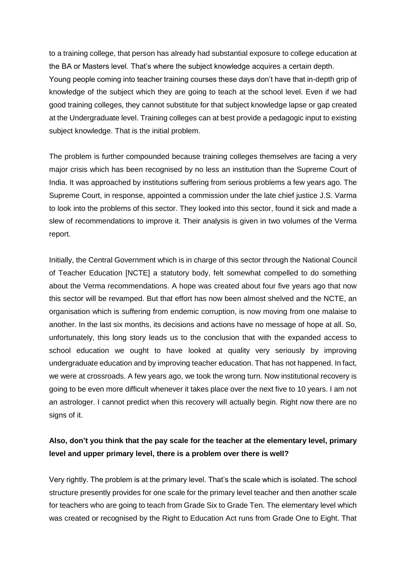to a training college, that person has already had substantial exposure to college education at the BA or Masters level. That's where the subject knowledge acquires a certain depth. Young people coming into teacher training courses these days don't have that in-depth grip of knowledge of the subject which they are going to teach at the school level. Even if we had good training colleges, they cannot substitute for that subject knowledge lapse or gap created at the Undergraduate level. Training colleges can at best provide a pedagogic input to existing subject knowledge. That is the initial problem.

The problem is further compounded because training colleges themselves are facing a very major crisis which has been recognised by no less an institution than the Supreme Court of India. It was approached by institutions suffering from serious problems a few years ago. The Supreme Court, in response, appointed a commission under the late chief justice J.S. Varma to look into the problems of this sector. They looked into this sector, found it sick and made a slew of recommendations to improve it. Their analysis is given in two volumes of the Verma report.

Initially, the Central Government which is in charge of this sector through the National Council of Teacher Education [NCTE] a statutory body, felt somewhat compelled to do something about the Verma recommendations. A hope was created about four five years ago that now this sector will be revamped. But that effort has now been almost shelved and the NCTE, an organisation which is suffering from endemic corruption, is now moving from one malaise to another. In the last six months, its decisions and actions have no message of hope at all. So, unfortunately, this long story leads us to the conclusion that with the expanded access to school education we ought to have looked at quality very seriously by improving undergraduate education and by improving teacher education. That has not happened. In fact, we were at crossroads. A few years ago, we took the wrong turn. Now institutional recovery is going to be even more difficult whenever it takes place over the next five to 10 years. I am not an astrologer. I cannot predict when this recovery will actually begin. Right now there are no signs of it.

#### **Also, don't you think that the pay scale for the teacher at the elementary level, primary level and upper primary level, there is a problem over there is well?**

Very rightly. The problem is at the primary level. That's the scale which is isolated. The school structure presently provides for one scale for the primary level teacher and then another scale for teachers who are going to teach from Grade Six to Grade Ten. The elementary level which was created or recognised by the Right to Education Act runs from Grade One to Eight. That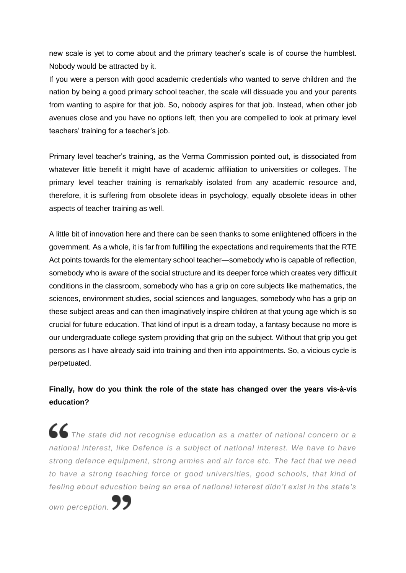new scale is yet to come about and the primary teacher's scale is of course the humblest. Nobody would be attracted by it.

If you were a person with good academic credentials who wanted to serve children and the nation by being a good primary school teacher, the scale will dissuade you and your parents from wanting to aspire for that job. So, nobody aspires for that job. Instead, when other job avenues close and you have no options left, then you are compelled to look at primary level teachers' training for a teacher's job.

Primary level teacher's training, as the Verma Commission pointed out, is dissociated from whatever little benefit it might have of academic affiliation to universities or colleges. The primary level teacher training is remarkably isolated from any academic resource and, therefore, it is suffering from obsolete ideas in psychology, equally obsolete ideas in other aspects of teacher training as well.

A little bit of innovation here and there can be seen thanks to some enlightened officers in the government. As a whole, it is far from fulfilling the expectations and requirements that the RTE Act points towards for the elementary school teacher—somebody who is capable of reflection, somebody who is aware of the social structure and its deeper force which creates very difficult conditions in the classroom, somebody who has a grip on core subjects like mathematics, the sciences, environment studies, social sciences and languages, somebody who has a grip on these subject areas and can then imaginatively inspire children at that young age which is so crucial for future education. That kind of input is a dream today, a fantasy because no more is our undergraduate college system providing that grip on the subject. Without that grip you get persons as I have already said into training and then into appointments. So, a vicious cycle is perpetuated.

#### **Finally, how do you think the role of the state has changed over the years vis-à-vis education?**

*The state did not recognise education as a matter of national concern or a national interest, like Defence is a subject of national interest. We have to have strong defence equipment, strong armies and air force etc. The fact that we need to have a strong teaching force or good universities, good schools, that kind of feeling about education being an area of national interest didn't exist in the state's* 

*own perception.*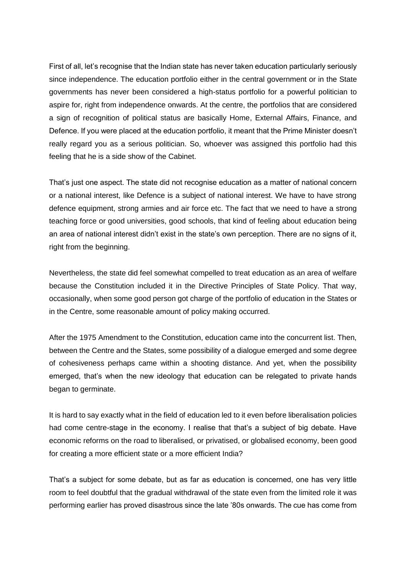First of all, let's recognise that the Indian state has never taken education particularly seriously since independence. The education portfolio either in the central government or in the State governments has never been considered a high-status portfolio for a powerful politician to aspire for, right from independence onwards. At the centre, the portfolios that are considered a sign of recognition of political status are basically Home, External Affairs, Finance, and Defence. If you were placed at the education portfolio, it meant that the Prime Minister doesn't really regard you as a serious politician. So, whoever was assigned this portfolio had this feeling that he is a side show of the Cabinet.

That's just one aspect. The state did not recognise education as a matter of national concern or a national interest, like Defence is a subject of national interest. We have to have strong defence equipment, strong armies and air force etc. The fact that we need to have a strong teaching force or good universities, good schools, that kind of feeling about education being an area of national interest didn't exist in the state's own perception. There are no signs of it, right from the beginning.

Nevertheless, the state did feel somewhat compelled to treat education as an area of welfare because the Constitution included it in the Directive Principles of State Policy. That way, occasionally, when some good person got charge of the portfolio of education in the States or in the Centre, some reasonable amount of policy making occurred.

After the 1975 Amendment to the Constitution, education came into the concurrent list. Then, between the Centre and the States, some possibility of a dialogue emerged and some degree of cohesiveness perhaps came within a shooting distance. And yet, when the possibility emerged, that's when the new ideology that education can be relegated to private hands began to germinate.

It is hard to say exactly what in the field of education led to it even before liberalisation policies had come centre-stage in the economy. I realise that that's a subject of big debate. Have economic reforms on the road to liberalised, or privatised, or globalised economy, been good for creating a more efficient state or a more efficient India?

That's a subject for some debate, but as far as education is concerned, one has very little room to feel doubtful that the gradual withdrawal of the state even from the limited role it was performing earlier has proved disastrous since the late '80s onwards. The cue has come from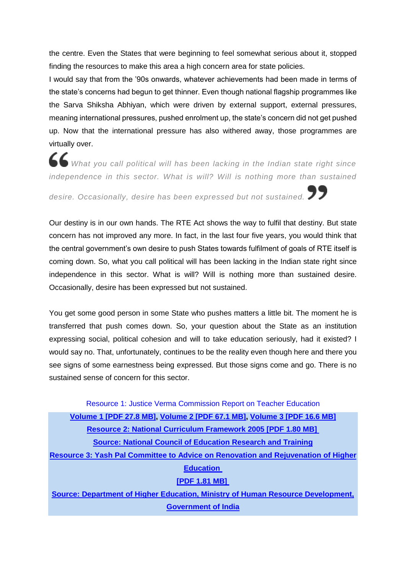the centre. Even the States that were beginning to feel somewhat serious about it, stopped finding the resources to make this area a high concern area for state policies.

I would say that from the '90s onwards, whatever achievements had been made in terms of the state's concerns had begun to get thinner. Even though national flagship programmes like the Sarva Shiksha Abhiyan, which were driven by external support, external pressures, meaning international pressures, pushed enrolment up, the state's concern did not get pushed up. Now that the international pressure has also withered away, those programmes are virtually over.

*What you call political will has been lacking in the Indian state right since independence in this sector. What is will? Will is nothing more than sustained* 

*desire. Occasionally, desire has been expressed but not sustained.*

Our destiny is in our own hands. The RTE Act shows the way to fulfil that destiny. But state concern has not improved any more. In fact, in the last four five years, you would think that the central government's own desire to push States towards fulfilment of goals of RTE itself is coming down. So, what you call political will has been lacking in the Indian state right since independence in this sector. What is will? Will is nothing more than sustained desire. Occasionally, desire has been expressed but not sustained.

You get some good person in some State who pushes matters a little bit. The moment he is transferred that push comes down. So, your question about the State as an institution expressing social, political cohesion and will to take education seriously, had it existed? I would say no. That, unfortunately, continues to be the reality even though here and there you see signs of some earnestness being expressed. But those signs come and go. There is no sustained sense of concern for this sector.

Resource 1: Justice Verma Commission Report on Teacher Education **[Volume](http://www.thehinducentre.com/multimedia/archive/03213/Justice_Verma_Comm_3213337a.pdf) 1 [PDF 27.8 MB], [Volume](http://www.thehinducentre.com/multimedia/archive/03213/Justice_Verma_Comm_3213340a.pdf) 2 [PDF 67.1 MB], [Volume](http://www.thehinducentre.com/multimedia/archive/03213/Justice_Verma_Comm_3213341a.pdf) 3 [PDF 16.6 MB] Resource 2: National [Curriculum](http://www.thehinducentre.com/multimedia/archive/03213/National_Curriculu_3213344a.pdf) Framework 2005 [PDF 1.80 MB] Source: National Council of [Education](http://www.thehinducentre.com/multimedia/archive/03213/National_Curriculu_3213344a.pdf) Research and Training Resource 3: Yash Pal Committee to Advice on Renovation and [Rejuvenation](http://www.thehinducentre.com/multimedia/archive/03213/Yash_Pal_Commitee__3213345a.pdf) of Higher [Education](http://www.thehinducentre.com/multimedia/archive/03213/Yash_Pal_Commitee__3213345a.pdf) [\[PDF](http://www.thehinducentre.com/multimedia/archive/03213/Yash_Pal_Commitee__3213345a.pdf) 1.81 MB] Source: Department of Higher Education, Ministry of Human Resource [Development,](http://www.thehinducentre.com/multimedia/archive/03213/Yash_Pal_Commitee__3213345a.pdf) [Government](http://www.thehinducentre.com/multimedia/archive/03213/Yash_Pal_Commitee__3213345a.pdf) of India**